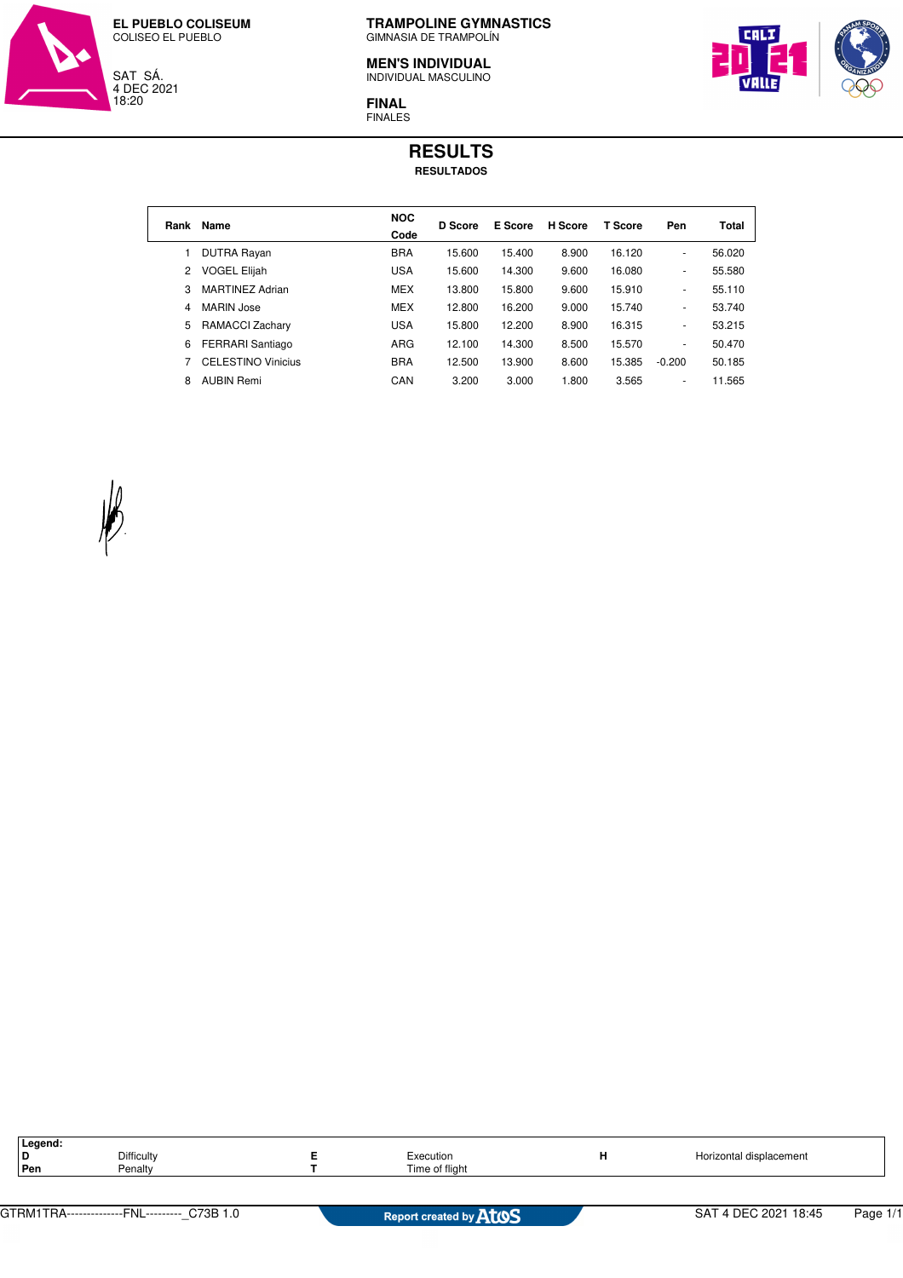

# **TRAMPOLINE GYMNASTICS** GIMNASIA DE TRAMPOLÍN

## **MEN'S INDIVIDUAL**

INDIVIDUAL MASCULINO



**FINAL** FINALES

#### **RESULTS RESULTADOS**

|                | Rank Name                 | <b>NOC</b><br>Code | <b>D</b> Score | E Score | <b>H</b> Score | <b>T</b> Score | Pen      | <b>Total</b> |
|----------------|---------------------------|--------------------|----------------|---------|----------------|----------------|----------|--------------|
|                | <b>DUTRA Rayan</b>        | <b>BRA</b>         | 15.600         | 15.400  | 8.900          | 16.120         | ۰        | 56.020       |
| $\overline{c}$ | <b>VOGEL Elijah</b>       | <b>USA</b>         | 15.600         | 14.300  | 9.600          | 16.080         | ٠        | 55.580       |
| 3              | <b>MARTINEZ Adrian</b>    | <b>MEX</b>         | 13.800         | 15.800  | 9.600          | 15.910         | ۰        | 55.110       |
| 4              | MARIN Jose                | <b>MEX</b>         | 12.800         | 16.200  | 9.000          | 15.740         | ٠        | 53.740       |
| 5              | RAMACCI Zachary           | <b>USA</b>         | 15.800         | 12.200  | 8.900          | 16.315         | ٠        | 53.215       |
| 6              | FERRARI Santiago          | <b>ARG</b>         | 12.100         | 14.300  | 8.500          | 15.570         | ٠        | 50.470       |
|                | <b>CELESTINO Vinicius</b> | <b>BRA</b>         | 12.500         | 13.900  | 8.600          | 15.385         | $-0.200$ | 50.185       |
| 8              | AUBIN Remi                | CAN                | 3.200          | 3.000   | 1.800          | 3.565          | ٠        | 11.565       |
|                |                           |                    |                |         |                |                |          |              |

| Ø<br>ŀ<br>I. |
|--------------|
|--------------|

| Legend: |            |                     |                         |
|---------|------------|---------------------|-------------------------|
| I       | Difficulty | :xecution           | Horizontal displacement |
| l Pen   | Penalty    | Time of<br>of fligh |                         |